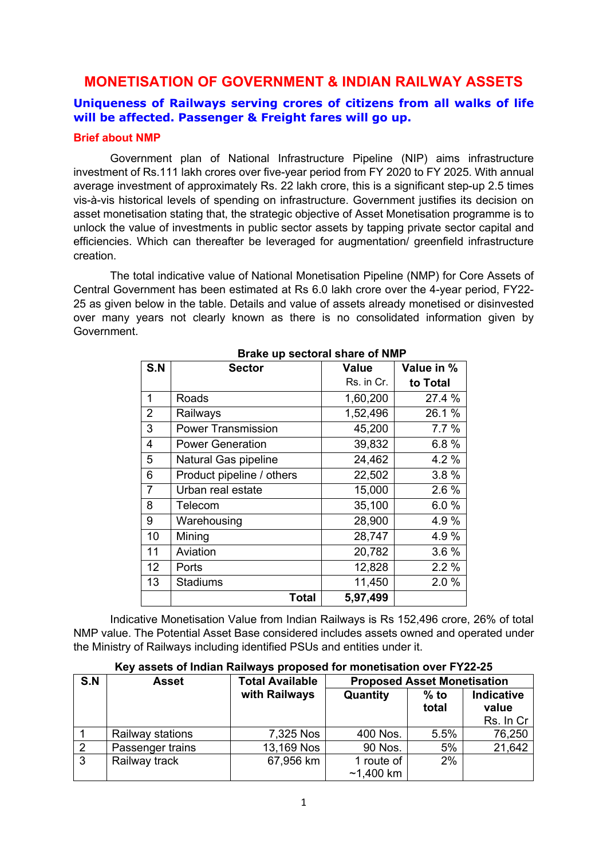# **MONETISATION OF GOVERNMENT & INDIAN RAILWAY ASSETS**

## **Uniqueness of Railways serving crores of citizens from all walks of life will be affected. Passenger & Freight fares will go up.**

## **Brief about NMP**

Government plan of National Infrastructure Pipeline (NIP) aims infrastructure investment of Rs.111 lakh crores over five-year period from FY 2020 to FY 2025. With annual average investment of approximately Rs. 22 lakh crore, this is a significant step-up 2.5 times vis-à-vis historical levels of spending on infrastructure. Government justifies its decision on asset monetisation stating that, the strategic objective of Asset Monetisation programme is to unlock the value of investments in public sector assets by tapping private sector capital and efficiencies. Which can thereafter be leveraged for augmentation/ greenfield infrastructure creation.

The total indicative value of National Monetisation Pipeline (NMP) for Core Assets of Central Government has been estimated at Rs 6.0 lakh crore over the 4-year period, FY22- 25 as given below in the table. Details and value of assets already monetised or disinvested over many years not clearly known as there is no consolidated information given by Government.

| S.N            | <b>Sector</b>             | <b>Value</b> | Value in % |
|----------------|---------------------------|--------------|------------|
|                |                           | Rs. in Cr.   | to Total   |
| 1              | Roads                     | 1,60,200     | 27.4%      |
| $\overline{2}$ | Railways                  | 1,52,496     | 26.1 %     |
| 3              | <b>Power Transmission</b> | 45,200       | 7.7%       |
| 4              | <b>Power Generation</b>   | 39,832       | 6.8%       |
| 5              | Natural Gas pipeline      | 24,462       | 4.2%       |
| 6              | Product pipeline / others | 22,502       | 3.8%       |
| $\overline{7}$ | Urban real estate         | 15,000       | 2.6%       |
| 8              | Telecom                   | 35,100       | 6.0%       |
| 9              | Warehousing               | 28,900       | 4.9%       |
| 10             | Mining                    | 28,747       | 4.9%       |
| 11             | Aviation                  | 20,782       | 3.6%       |
| 12             | Ports                     | 12,828       | 2.2%       |
| 13             | <b>Stadiums</b>           | 11,450       | 2.0%       |
|                | <b>Total</b>              | 5,97,499     |            |

**Brake up sectoral share of NMP**

Indicative Monetisation Value from Indian Railways is Rs 152,496 crore, 26% of total NMP value. The Potential Asset Base considered includes assets owned and operated under the Ministry of Railways including identified PSUs and entities under it.

| Key assets of Indian Railways proposed for monetisation over FY22-25 |  |  |
|----------------------------------------------------------------------|--|--|
|                                                                      |  |  |

| S.N            | <b>Asset</b>     | <b>Total Available</b> | <b>Proposed Asset Monetisation</b> |                 |                                         |
|----------------|------------------|------------------------|------------------------------------|-----------------|-----------------------------------------|
|                |                  | with Railways          | Quantity                           | $%$ to<br>total | <b>Indicative</b><br>value<br>Rs. In Cr |
|                | Railway stations | 7,325 Nos              | 400 Nos.                           | 5.5%            | 76,250                                  |
| 2              | Passenger trains | 13,169 Nos             | 90 Nos.                            | 5%              | 21,642                                  |
| $\overline{3}$ | Railway track    | 67,956 km              | 1 route of<br>$~1,400$ km          | 2%              |                                         |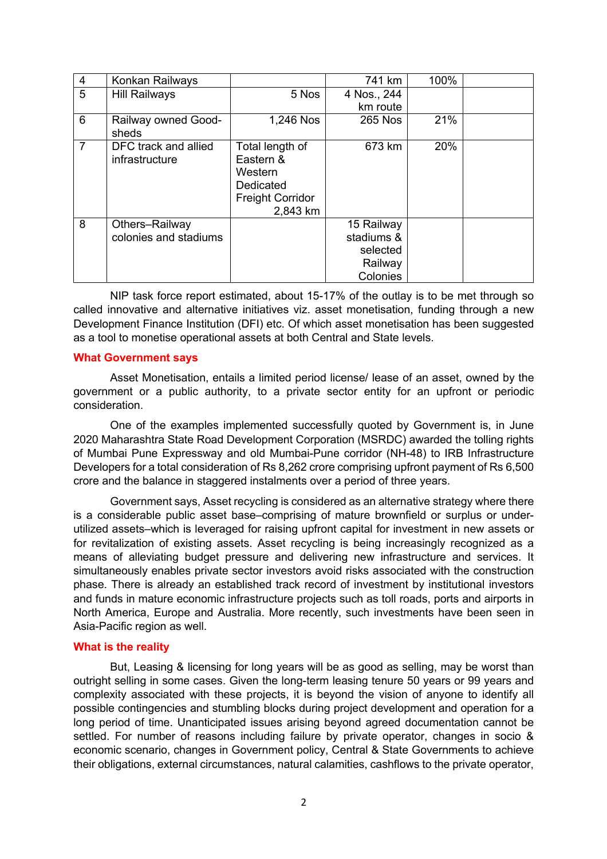| $\overline{4}$ | Konkan Railways       |                         | 741 km      | 100% |  |
|----------------|-----------------------|-------------------------|-------------|------|--|
| 5              | <b>Hill Railways</b>  | 5 Nos                   | 4 Nos., 244 |      |  |
|                |                       |                         | km route    |      |  |
| 6              | Railway owned Good-   | 1,246 Nos               | 265 Nos     | 21%  |  |
|                | sheds                 |                         |             |      |  |
| $\overline{7}$ | DFC track and allied  | Total length of         | 673 km      | 20%  |  |
|                | infrastructure        | Eastern &               |             |      |  |
|                |                       | Western                 |             |      |  |
|                |                       | Dedicated               |             |      |  |
|                |                       | <b>Freight Corridor</b> |             |      |  |
|                |                       | 2,843 km                |             |      |  |
| 8              | Others-Railway        |                         | 15 Railway  |      |  |
|                | colonies and stadiums |                         | stadiums &  |      |  |
|                |                       |                         | selected    |      |  |
|                |                       |                         | Railway     |      |  |
|                |                       |                         | Colonies    |      |  |

NIP task force report estimated, about 15-17% of the outlay is to be met through so called innovative and alternative initiatives viz. asset monetisation, funding through a new Development Finance Institution (DFI) etc. Of which asset monetisation has been suggested as a tool to monetise operational assets at both Central and State levels.

## **What Government says**

Asset Monetisation, entails a limited period license/ lease of an asset, owned by the government or a public authority, to a private sector entity for an upfront or periodic consideration.

One of the examples implemented successfully quoted by Government is, in June 2020 Maharashtra State Road Development Corporation (MSRDC) awarded the tolling rights of Mumbai Pune Expressway and old Mumbai-Pune corridor (NH-48) to IRB Infrastructure Developers for a total consideration of Rs 8,262 crore comprising upfront payment of Rs 6,500 crore and the balance in staggered instalments over a period of three years.

Government says, Asset recycling is considered as an alternative strategy where there is a considerable public asset base–comprising of mature brownfield or surplus or underutilized assets–which is leveraged for raising upfront capital for investment in new assets or for revitalization of existing assets. Asset recycling is being increasingly recognized as a means of alleviating budget pressure and delivering new infrastructure and services. It simultaneously enables private sector investors avoid risks associated with the construction phase. There is already an established track record of investment by institutional investors and funds in mature economic infrastructure projects such as toll roads, ports and airports in North America, Europe and Australia. More recently, such investments have been seen in Asia-Pacific region as well.

## **What is the reality**

But, Leasing & licensing for long years will be as good as selling, may be worst than outright selling in some cases. Given the long-term leasing tenure 50 years or 99 years and complexity associated with these projects, it is beyond the vision of anyone to identify all possible contingencies and stumbling blocks during project development and operation for a long period of time. Unanticipated issues arising beyond agreed documentation cannot be settled. For number of reasons including failure by private operator, changes in socio & economic scenario, changes in Government policy, Central & State Governments to achieve their obligations, external circumstances, natural calamities, cashflows to the private operator,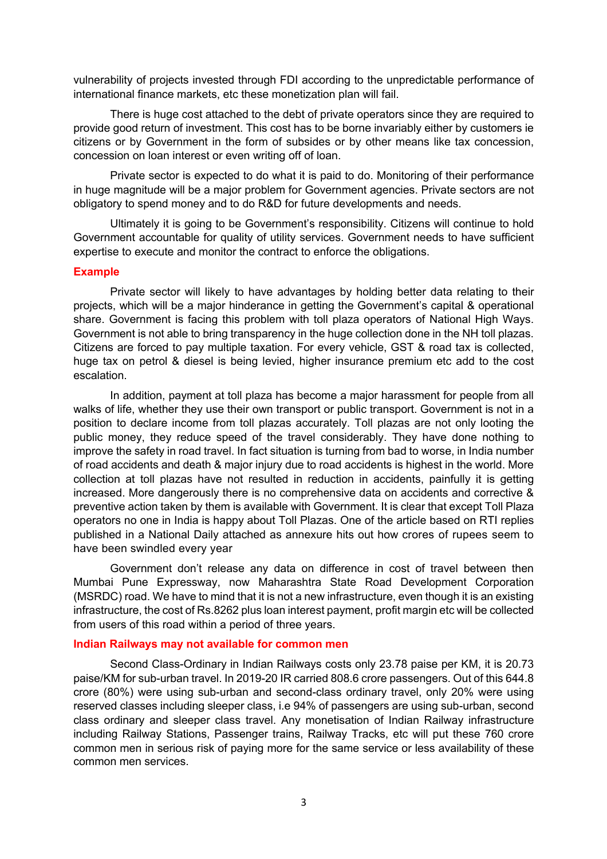vulnerability of projects invested through FDI according to the unpredictable performance of international finance markets, etc these monetization plan will fail.

There is huge cost attached to the debt of private operators since they are required to provide good return of investment. This cost has to be borne invariably either by customers ie citizens or by Government in the form of subsides or by other means like tax concession, concession on loan interest or even writing off of loan.

Private sector is expected to do what it is paid to do. Monitoring of their performance in huge magnitude will be a major problem for Government agencies. Private sectors are not obligatory to spend money and to do R&D for future developments and needs.

Ultimately it is going to be Government's responsibility. Citizens will continue to hold Government accountable for quality of utility services. Government needs to have sufficient expertise to execute and monitor the contract to enforce the obligations.

#### **Example**

Private sector will likely to have advantages by holding better data relating to their projects, which will be a major hinderance in getting the Government's capital & operational share. Government is facing this problem with toll plaza operators of National High Ways. Government is not able to bring transparency in the huge collection done in the NH toll plazas. Citizens are forced to pay multiple taxation. For every vehicle, GST & road tax is collected, huge tax on petrol & diesel is being levied, higher insurance premium etc add to the cost escalation.

In addition, payment at toll plaza has become a major harassment for people from all walks of life, whether they use their own transport or public transport. Government is not in a position to declare income from toll plazas accurately. Toll plazas are not only looting the public money, they reduce speed of the travel considerably. They have done nothing to improve the safety in road travel. In fact situation is turning from bad to worse, in India number of road accidents and death & major injury due to road accidents is highest in the world. More collection at toll plazas have not resulted in reduction in accidents, painfully it is getting increased. More dangerously there is no comprehensive data on accidents and corrective & preventive action taken by them is available with Government. It is clear that except Toll Plaza operators no one in India is happy about Toll Plazas. One of the article based on RTI replies published in a National Daily attached as annexure hits out how crores of rupees seem to have been swindled every year

Government don't release any data on difference in cost of travel between then Mumbai Pune Expressway, now Maharashtra State Road Development Corporation (MSRDC) road. We have to mind that it is not a new infrastructure, even though it is an existing infrastructure, the cost of Rs.8262 plus loan interest payment, profit margin etc will be collected from users of this road within a period of three years.

## **Indian Railways may not available for common men**

Second Class-Ordinary in Indian Railways costs only 23.78 paise per KM, it is 20.73 paise/KM for sub-urban travel. In 2019-20 IR carried 808.6 crore passengers. Out of this 644.8 crore (80%) were using sub-urban and second-class ordinary travel, only 20% were using reserved classes including sleeper class, i.e 94% of passengers are using sub-urban, second class ordinary and sleeper class travel. Any monetisation of Indian Railway infrastructure including Railway Stations, Passenger trains, Railway Tracks, etc will put these 760 crore common men in serious risk of paying more for the same service or less availability of these common men services.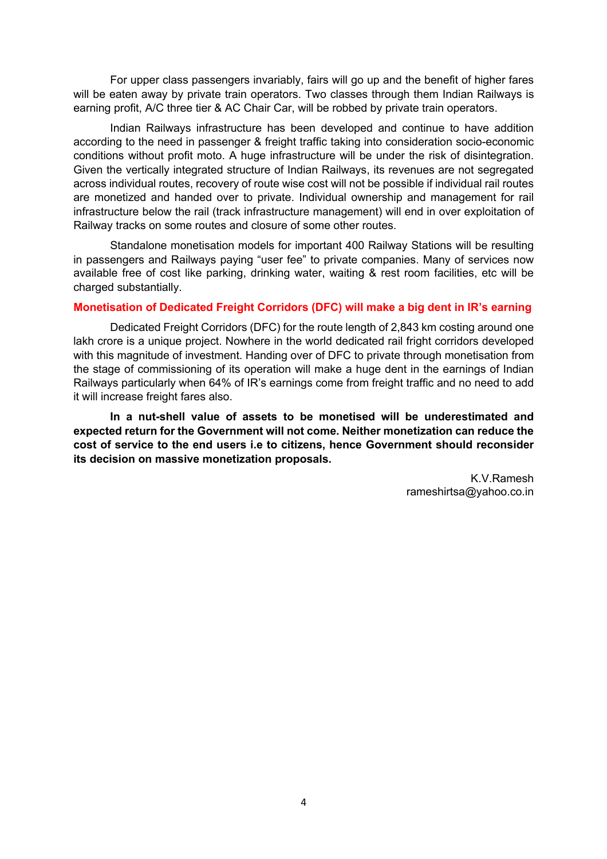For upper class passengers invariably, fairs will go up and the benefit of higher fares will be eaten away by private train operators. Two classes through them Indian Railways is earning profit, A/C three tier & AC Chair Car, will be robbed by private train operators.

Indian Railways infrastructure has been developed and continue to have addition according to the need in passenger & freight traffic taking into consideration socio-economic conditions without profit moto. A huge infrastructure will be under the risk of disintegration. Given the vertically integrated structure of Indian Railways, its revenues are not segregated across individual routes, recovery of route wise cost will not be possible if individual rail routes are monetized and handed over to private. Individual ownership and management for rail infrastructure below the rail (track infrastructure management) will end in over exploitation of Railway tracks on some routes and closure of some other routes.

Standalone monetisation models for important 400 Railway Stations will be resulting in passengers and Railways paying "user fee" to private companies. Many of services now available free of cost like parking, drinking water, waiting & rest room facilities, etc will be charged substantially.

## **Monetisation of Dedicated Freight Corridors (DFC) will make a big dent in IR's earning**

Dedicated Freight Corridors (DFC) for the route length of 2,843 km costing around one lakh crore is a unique project. Nowhere in the world dedicated rail fright corridors developed with this magnitude of investment. Handing over of DFC to private through monetisation from the stage of commissioning of its operation will make a huge dent in the earnings of Indian Railways particularly when 64% of IR's earnings come from freight traffic and no need to add it will increase freight fares also.

**In a nut-shell value of assets to be monetised will be underestimated and expected return for the Government will not come. Neither monetization can reduce the cost of service to the end users i.e to citizens, hence Government should reconsider its decision on massive monetization proposals.** 

> K.V.Ramesh rameshirtsa@yahoo.co.in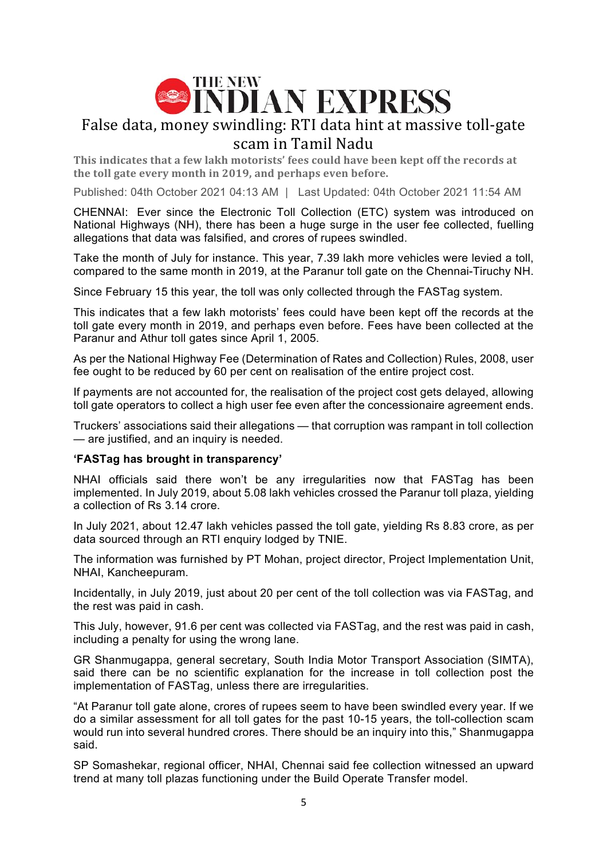

# False data, money swindling: RTI data hint at massive toll-gate scam in Tamil Nadu

This indicates that a few lakh motorists' fees could have been kept off the records at the toll gate every month in 2019, and perhaps even before.

Published: 04th October 2021 04:13 AM | Last Updated: 04th October 2021 11:54 AM

CHENNAI: Ever since the Electronic Toll Collection (ETC) system was introduced on National Highways (NH), there has been a huge surge in the user fee collected, fuelling allegations that data was falsified, and crores of rupees swindled.

Take the month of July for instance. This year, 7.39 lakh more vehicles were levied a toll, compared to the same month in 2019, at the Paranur toll gate on the Chennai-Tiruchy NH.

Since February 15 this year, the toll was only collected through the FASTag system.

This indicates that a few lakh motorists' fees could have been kept off the records at the toll gate every month in 2019, and perhaps even before. Fees have been collected at the Paranur and Athur toll gates since April 1, 2005.

As per the National Highway Fee (Determination of Rates and Collection) Rules, 2008, user fee ought to be reduced by 60 per cent on realisation of the entire project cost.

If payments are not accounted for, the realisation of the project cost gets delayed, allowing toll gate operators to collect a high user fee even after the concessionaire agreement ends.

Truckers' associations said their allegations — that corruption was rampant in toll collection — are justified, and an inquiry is needed.

## **'FASTag has brought in transparency'**

NHAI officials said there won't be any irregularities now that FASTag has been implemented. In July 2019, about 5.08 lakh vehicles crossed the Paranur toll plaza, yielding a collection of Rs 3.14 crore.

In July 2021, about 12.47 lakh vehicles passed the toll gate, yielding Rs 8.83 crore, as per data sourced through an RTI enquiry lodged by TNIE.

The information was furnished by PT Mohan, project director, Project Implementation Unit, NHAI, Kancheepuram.

Incidentally, in July 2019, just about 20 per cent of the toll collection was via FASTag, and the rest was paid in cash.

This July, however, 91.6 per cent was collected via FASTag, and the rest was paid in cash, including a penalty for using the wrong lane.

GR Shanmugappa, general secretary, South India Motor Transport Association (SIMTA), said there can be no scientific explanation for the increase in toll collection post the implementation of FASTag, unless there are irregularities.

"At Paranur toll gate alone, crores of rupees seem to have been swindled every year. If we do a similar assessment for all toll gates for the past 10-15 years, the toll-collection scam would run into several hundred crores. There should be an inquiry into this," Shanmugappa said.

SP Somashekar, regional officer, NHAI, Chennai said fee collection witnessed an upward trend at many toll plazas functioning under the Build Operate Transfer model.